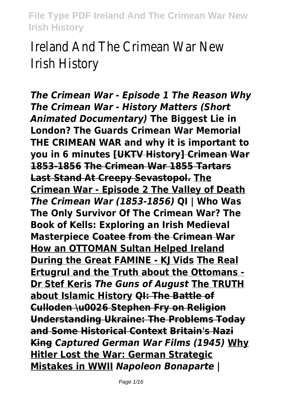Ireland And The Crimean War New Irish History

*The Crimean War - Episode 1 The Reason Why The Crimean War - History Matters (Short Animated Documentary)* **The Biggest Lie in London? The Guards Crimean War Memorial THE CRIMEAN WAR and why it is important to you in 6 minutes [UKTV History] Crimean War 1853-1856 The Crimean War 1855 Tartars Last Stand At Creepy Sevastopol. The Crimean War - Episode 2 The Valley of Death** *The Crimean War (1853-1856)* **QI | Who Was The Only Survivor Of The Crimean War? The Book of Kells: Exploring an Irish Medieval Masterpiece Coatee from the Crimean War How an OTTOMAN Sultan Helped Ireland During the Great FAMINE - KJ Vids The Real Ertugrul and the Truth about the Ottomans - Dr Stef Keris** *The Guns of August* **The TRUTH about Islamic History QI: The Battle of Culloden \u0026 Stephen Fry on Religion Understanding Ukraine: The Problems Today and Some Historical Context Britain's Nazi King** *Captured German War Films (1945)* **Why Hitler Lost the War: German Strategic Mistakes in WWII** *Napoleon Bonaparte |*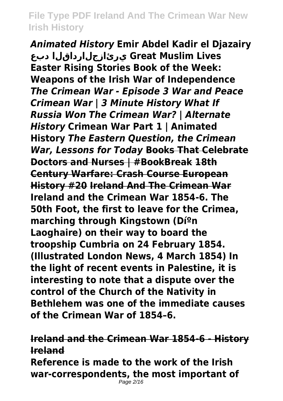*Animated History* **Emir Abdel Kadir el Djazairy دبع يرئازجلارداقلا Great Muslim Lives Easter Rising Stories Book of the Week: Weapons of the Irish War of Independence** *The Crimean War - Episode 3 War and Peace Crimean War | 3 Minute History What If Russia Won The Crimean War? | Alternate History* **Crimean War Part 1 | Animated History** *The Eastern Question, the Crimean War, Lessons for Today* **Books That Celebrate Doctors and Nurses | #BookBreak 18th Century Warfare: Crash Course European History #20 Ireland And The Crimean War Ireland and the Crimean War 1854-6. The 50th Foot, the first to leave for the Crimea, marching through Kingstown (Díºn Laoghaire) on their way to board the troopship Cumbria on 24 February 1854. (Illustrated London News, 4 March 1854) In the light of recent events in Palestine, it is interesting to note that a dispute over the control of the Church of the Nativity in Bethlehem was one of the immediate causes of the Crimean War of 1854–6.**

# **Ireland and the Crimean War 1854-6 - History Ireland**

**Reference is made to the work of the Irish war-correspondents, the most important of**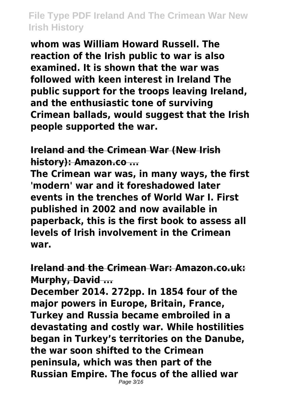**whom was William Howard Russell. The reaction of the Irish public to war is also examined. It is shown that the war was followed with keen interest in Ireland The public support for the troops leaving Ireland, and the enthusiastic tone of surviving Crimean ballads, would suggest that the Irish people supported the war.**

#### **Ireland and the Crimean War (New Irish history): Amazon.co ...**

**The Crimean war was, in many ways, the first 'modern' war and it foreshadowed later events in the trenches of World War I. First published in 2002 and now available in paperback, this is the first book to assess all levels of Irish involvement in the Crimean war.**

#### **Ireland and the Crimean War: Amazon.co.uk: Murphy, David ...**

**December 2014. 272pp. In 1854 four of the major powers in Europe, Britain, France, Turkey and Russia became embroiled in a devastating and costly war. While hostilities began in Turkey's territories on the Danube, the war soon shifted to the Crimean peninsula, which was then part of the Russian Empire. The focus of the allied war** Page 3/16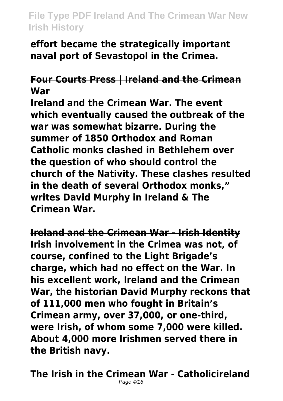**effort became the strategically important naval port of Sevastopol in the Crimea.**

# **Four Courts Press | Ireland and the Crimean War**

**Ireland and the Crimean War. The event which eventually caused the outbreak of the war was somewhat bizarre. During the summer of 1850 Orthodox and Roman Catholic monks clashed in Bethlehem over the question of who should control the church of the Nativity. These clashes resulted in the death of several Orthodox monks," writes David Murphy in Ireland & The Crimean War.**

**Ireland and the Crimean War - Irish Identity Irish involvement in the Crimea was not, of course, confined to the Light Brigade's charge, which had no effect on the War. In his excellent work, Ireland and the Crimean War, the historian David Murphy reckons that of 111,000 men who fought in Britain's Crimean army, over 37,000, or one-third, were Irish, of whom some 7,000 were killed. About 4,000 more Irishmen served there in the British navy.**

**The Irish in the Crimean War - Catholicireland** Page 4/16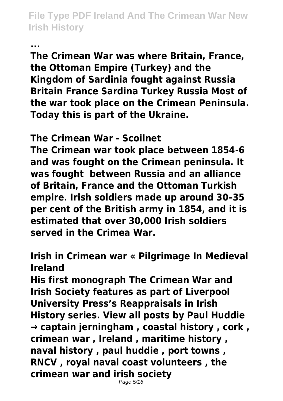#### **...**

**The Crimean War was where Britain, France, the Ottoman Empire (Turkey) and the Kingdom of Sardinia fought against Russia Britain France Sardina Turkey Russia Most of the war took place on the Crimean Peninsula. Today this is part of the Ukraine.**

#### **The Crimean War - Scoilnet**

**The Crimean war took place between 1854-6 and was fought on the Crimean peninsula. It was fought between Russia and an alliance of Britain, France and the Ottoman Turkish empire. Irish soldiers made up around 30–35 per cent of the British army in 1854, and it is estimated that over 30,000 Irish soldiers served in the Crimea War.**

#### **Irish in Crimean war « Pilgrimage In Medieval Ireland**

**His first monograph The Crimean War and Irish Society features as part of Liverpool University Press's Reappraisals in Irish History series. View all posts by Paul Huddie → captain jerningham , coastal history , cork , crimean war , Ireland , maritime history , naval history , paul huddie , port towns , RNCV , royal naval coast volunteers , the crimean war and irish society** Page 5/16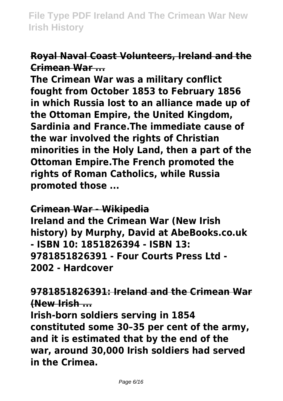#### **Royal Naval Coast Volunteers, Ireland and the Crimean War ...**

**The Crimean War was a military conflict fought from October 1853 to February 1856 in which Russia lost to an alliance made up of the Ottoman Empire, the United Kingdom, Sardinia and France.The immediate cause of the war involved the rights of Christian minorities in the Holy Land, then a part of the Ottoman Empire.The French promoted the rights of Roman Catholics, while Russia promoted those ...**

#### **Crimean War - Wikipedia**

**Ireland and the Crimean War (New Irish history) by Murphy, David at AbeBooks.co.uk - ISBN 10: 1851826394 - ISBN 13: 9781851826391 - Four Courts Press Ltd - 2002 - Hardcover**

**9781851826391: Ireland and the Crimean War (New Irish ...**

**Irish-born soldiers serving in 1854 constituted some 30–35 per cent of the army, and it is estimated that by the end of the war, around 30,000 Irish soldiers had served in the Crimea.**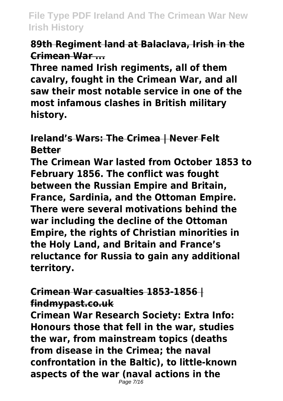#### **89th Regiment land at Balaclava, Irish in the Crimean War ...**

**Three named Irish regiments, all of them cavalry, fought in the Crimean War, and all saw their most notable service in one of the most infamous clashes in British military history.**

**Ireland's Wars: The Crimea | Never Felt Better**

**The Crimean War lasted from October 1853 to February 1856. The conflict was fought between the Russian Empire and Britain, France, Sardinia, and the Ottoman Empire. There were several motivations behind the war including the decline of the Ottoman Empire, the rights of Christian minorities in the Holy Land, and Britain and France's reluctance for Russia to gain any additional territory.**

# **Crimean War casualties 1853-1856 | findmypast.co.uk**

**Crimean War Research Society: Extra Info: Honours those that fell in the war, studies the war, from mainstream topics (deaths from disease in the Crimea; the naval confrontation in the Baltic), to little-known aspects of the war (naval actions in the**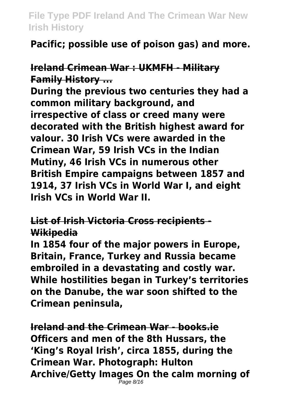**Pacific; possible use of poison gas) and more.**

**Ireland Crimean War : UKMFH - Military Family History ...**

**During the previous two centuries they had a common military background, and irrespective of class or creed many were decorated with the British highest award for valour. 30 Irish VCs were awarded in the Crimean War, 59 Irish VCs in the Indian Mutiny, 46 Irish VCs in numerous other British Empire campaigns between 1857 and 1914, 37 Irish VCs in World War I, and eight Irish VCs in World War II.**

**List of Irish Victoria Cross recipients - Wikipedia**

**In 1854 four of the major powers in Europe, Britain, France, Turkey and Russia became embroiled in a devastating and costly war. While hostilities began in Turkey's territories on the Danube, the war soon shifted to the Crimean peninsula,**

**Ireland and the Crimean War - books.ie Officers and men of the 8th Hussars, the 'King's Royal Irish', circa 1855, during the Crimean War. Photograph: Hulton Archive/Getty Images On the calm morning of** Page 8/16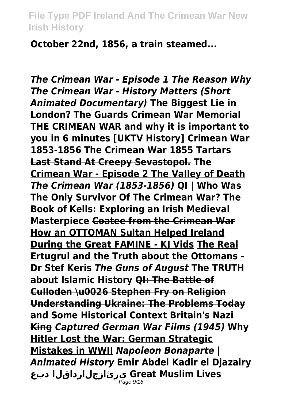**October 22nd, 1856, a train steamed...**

*The Crimean War - Episode 1 The Reason Why The Crimean War - History Matters (Short Animated Documentary)* **The Biggest Lie in London? The Guards Crimean War Memorial THE CRIMEAN WAR and why it is important to you in 6 minutes [UKTV History] Crimean War 1853-1856 The Crimean War 1855 Tartars Last Stand At Creepy Sevastopol. The Crimean War - Episode 2 The Valley of Death** *The Crimean War (1853-1856)* **QI | Who Was The Only Survivor Of The Crimean War? The Book of Kells: Exploring an Irish Medieval Masterpiece Coatee from the Crimean War How an OTTOMAN Sultan Helped Ireland During the Great FAMINE - KJ Vids The Real Ertugrul and the Truth about the Ottomans - Dr Stef Keris** *The Guns of August* **The TRUTH about Islamic History QI: The Battle of Culloden \u0026 Stephen Fry on Religion Understanding Ukraine: The Problems Today and Some Historical Context Britain's Nazi King** *Captured German War Films (1945)* **Why Hitler Lost the War: German Strategic Mistakes in WWII** *Napoleon Bonaparte | Animated History* **Emir Abdel Kadir el Djazairy دبع يرئازجلارداقلا Great Muslim Lives** Page 9/16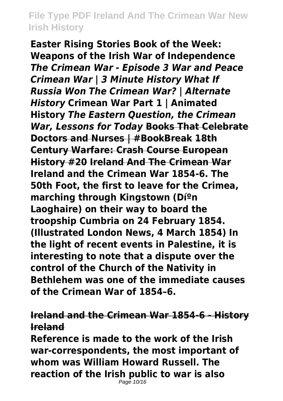**Easter Rising Stories Book of the Week: Weapons of the Irish War of Independence** *The Crimean War - Episode 3 War and Peace Crimean War | 3 Minute History What If Russia Won The Crimean War? | Alternate History* **Crimean War Part 1 | Animated History** *The Eastern Question, the Crimean War, Lessons for Today* **Books That Celebrate Doctors and Nurses | #BookBreak 18th Century Warfare: Crash Course European History #20 Ireland And The Crimean War Ireland and the Crimean War 1854-6. The 50th Foot, the first to leave for the Crimea, marching through Kingstown (Díºn Laoghaire) on their way to board the troopship Cumbria on 24 February 1854. (Illustrated London News, 4 March 1854) In the light of recent events in Palestine, it is interesting to note that a dispute over the control of the Church of the Nativity in Bethlehem was one of the immediate causes of the Crimean War of 1854–6.**

#### **Ireland and the Crimean War 1854-6 - History Ireland**

**Reference is made to the work of the Irish war-correspondents, the most important of whom was William Howard Russell. The reaction of the Irish public to war is also**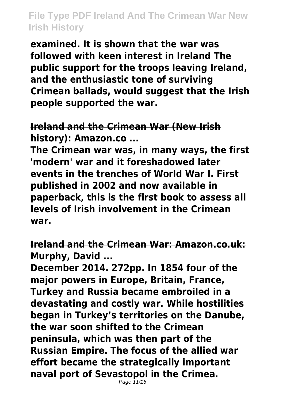**examined. It is shown that the war was followed with keen interest in Ireland The public support for the troops leaving Ireland, and the enthusiastic tone of surviving Crimean ballads, would suggest that the Irish people supported the war.**

**Ireland and the Crimean War (New Irish history): Amazon.co ...**

**The Crimean war was, in many ways, the first 'modern' war and it foreshadowed later events in the trenches of World War I. First published in 2002 and now available in paperback, this is the first book to assess all levels of Irish involvement in the Crimean war.**

**Ireland and the Crimean War: Amazon.co.uk: Murphy, David ...**

**December 2014. 272pp. In 1854 four of the major powers in Europe, Britain, France, Turkey and Russia became embroiled in a devastating and costly war. While hostilities began in Turkey's territories on the Danube, the war soon shifted to the Crimean peninsula, which was then part of the Russian Empire. The focus of the allied war effort became the strategically important naval port of Sevastopol in the Crimea.**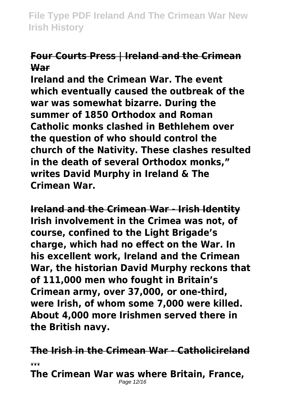#### **Four Courts Press | Ireland and the Crimean War**

**Ireland and the Crimean War. The event which eventually caused the outbreak of the war was somewhat bizarre. During the summer of 1850 Orthodox and Roman Catholic monks clashed in Bethlehem over the question of who should control the church of the Nativity. These clashes resulted in the death of several Orthodox monks," writes David Murphy in Ireland & The Crimean War.**

**Ireland and the Crimean War - Irish Identity Irish involvement in the Crimea was not, of course, confined to the Light Brigade's charge, which had no effect on the War. In his excellent work, Ireland and the Crimean War, the historian David Murphy reckons that of 111,000 men who fought in Britain's Crimean army, over 37,000, or one-third, were Irish, of whom some 7,000 were killed. About 4,000 more Irishmen served there in the British navy.**

**The Irish in the Crimean War - Catholicireland ... The Crimean War was where Britain, France,** Page 12/16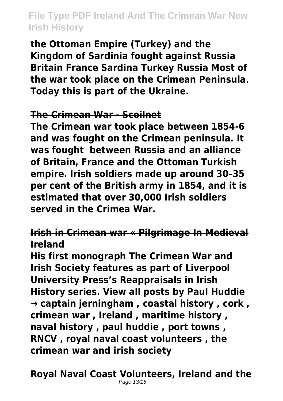**the Ottoman Empire (Turkey) and the Kingdom of Sardinia fought against Russia Britain France Sardina Turkey Russia Most of the war took place on the Crimean Peninsula. Today this is part of the Ukraine.**

#### **The Crimean War - Scoilnet**

**The Crimean war took place between 1854-6 and was fought on the Crimean peninsula. It was fought between Russia and an alliance of Britain, France and the Ottoman Turkish empire. Irish soldiers made up around 30–35 per cent of the British army in 1854, and it is estimated that over 30,000 Irish soldiers served in the Crimea War.**

# **Irish in Crimean war « Pilgrimage In Medieval Ireland**

**His first monograph The Crimean War and Irish Society features as part of Liverpool University Press's Reappraisals in Irish History series. View all posts by Paul Huddie → captain jerningham , coastal history , cork , crimean war , Ireland , maritime history , naval history , paul huddie , port towns , RNCV , royal naval coast volunteers , the crimean war and irish society**

**Royal Naval Coast Volunteers, Ireland and the** Page 13/16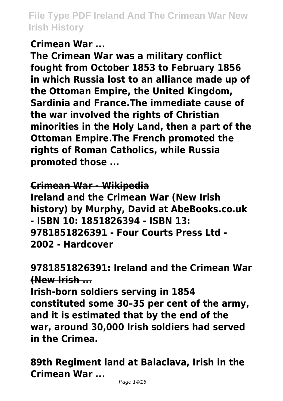#### **Crimean War ...**

**The Crimean War was a military conflict fought from October 1853 to February 1856 in which Russia lost to an alliance made up of the Ottoman Empire, the United Kingdom, Sardinia and France.The immediate cause of the war involved the rights of Christian minorities in the Holy Land, then a part of the Ottoman Empire.The French promoted the rights of Roman Catholics, while Russia promoted those ...**

**Crimean War - Wikipedia Ireland and the Crimean War (New Irish history) by Murphy, David at AbeBooks.co.uk - ISBN 10: 1851826394 - ISBN 13: 9781851826391 - Four Courts Press Ltd - 2002 - Hardcover**

# **9781851826391: Ireland and the Crimean War (New Irish ...**

**Irish-born soldiers serving in 1854 constituted some 30–35 per cent of the army, and it is estimated that by the end of the war, around 30,000 Irish soldiers had served in the Crimea.**

**89th Regiment land at Balaclava, Irish in the Crimean War ...**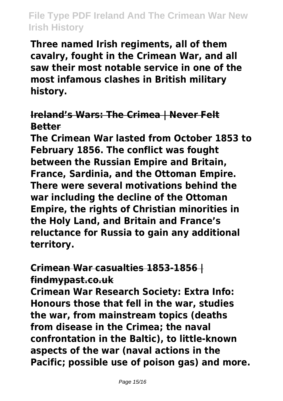**Three named Irish regiments, all of them cavalry, fought in the Crimean War, and all saw their most notable service in one of the most infamous clashes in British military history.**

#### **Ireland's Wars: The Crimea | Never Felt Better**

**The Crimean War lasted from October 1853 to February 1856. The conflict was fought between the Russian Empire and Britain, France, Sardinia, and the Ottoman Empire. There were several motivations behind the war including the decline of the Ottoman Empire, the rights of Christian minorities in the Holy Land, and Britain and France's reluctance for Russia to gain any additional territory.**

#### **Crimean War casualties 1853-1856 | findmypast.co.uk**

**Crimean War Research Society: Extra Info: Honours those that fell in the war, studies the war, from mainstream topics (deaths from disease in the Crimea; the naval confrontation in the Baltic), to little-known aspects of the war (naval actions in the Pacific; possible use of poison gas) and more.**